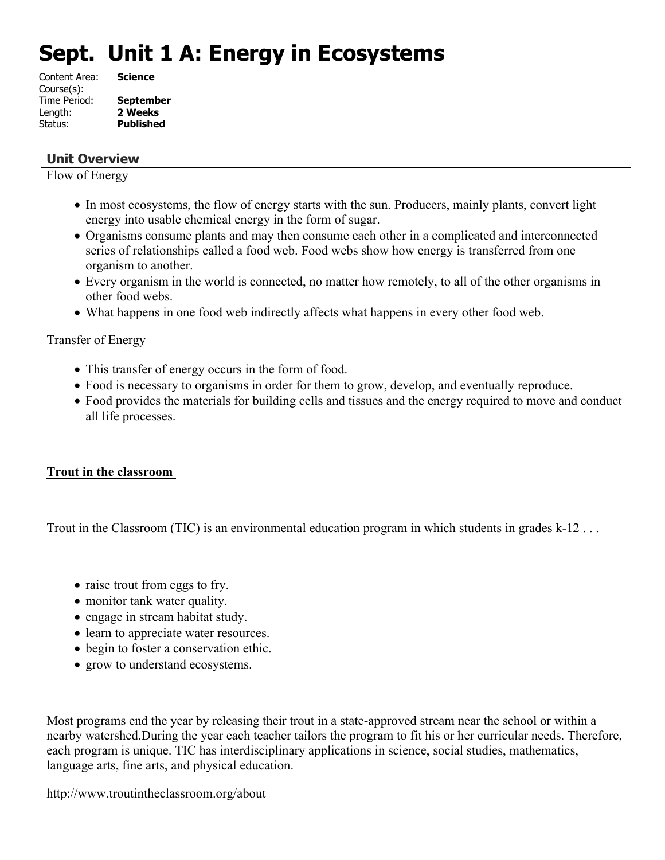# **Sept. Unit 1 A: Energy in Ecosystems**

| <b>Science</b>   |
|------------------|
|                  |
| <b>September</b> |
| 2 Weeks          |
| <b>Published</b> |
|                  |

## **Unit Overview**

Flow of Energy

- In most ecosystems, the flow of energy starts with the sun. Producers, mainly plants, convert light energy into usable chemical energy in the form of sugar.
- Organisms consume plants and may then consume each other in a complicated and interconnected series of relationships called a food web. Food webs show how energy is transferred from one organism to another.
- Every organism in the world is connected, no matter how remotely, to all of the other organisms in other food webs.
- What happens in one food web indirectly affects what happens in every other food web.

Transfer of Energy

- This transfer of energy occurs in the form of food.
- Food is necessary to organisms in order for them to grow, develop, and eventually reproduce.
- Food provides the materials for building cells and tissues and the energy required to move and conduct all life processes.

# **Trout in the classroom**

Trout in the Classroom (TIC) is an environmental education program in which students in grades k-12...

- raise trout from eggs to fry.
- monitor tank water quality.
- engage in stream habitat study.
- learn to appreciate water resources.
- begin to foster a conservation ethic.
- grow to understand ecosystems.

Most programs end the year by releasing their trout in a state-approved stream near the school or within a nearby watershed.During the year each teacher tailors the program to fit his or her curricular needs. Therefore, each program is unique. TIC has interdisciplinary applications in science, social studies, mathematics, language arts, fine arts, and physical education.

http://www.troutintheclassroom.org/about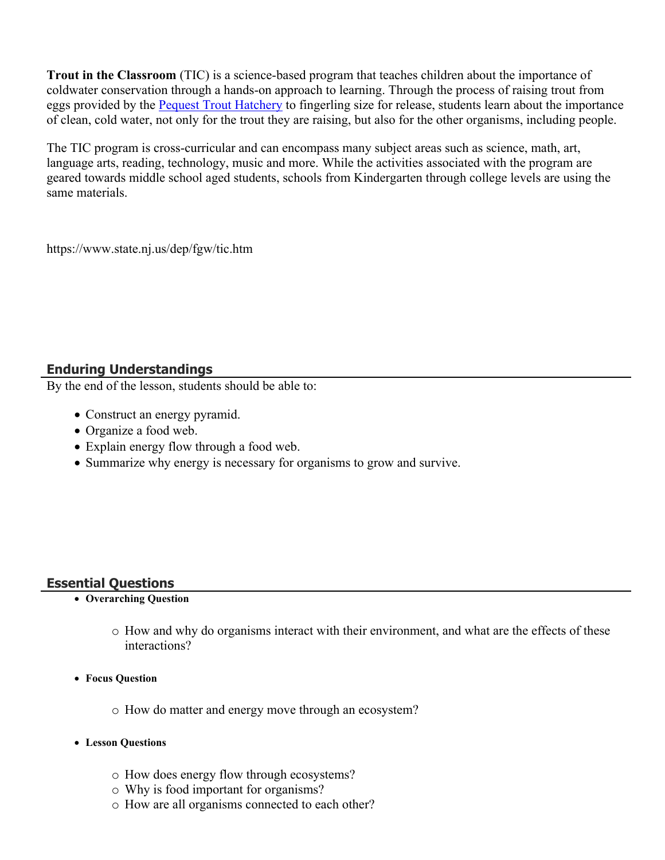**Trout in the Classroom** (TIC) is a science-based program that teaches children about the importance of coldwater conservation through a hands-on approach to learning. Through the process of raising trout from eggs provided by the [Pequest Trout Hatchery](https://www.state.nj.us/dep/fgw/pequest.htm) to fingerling size for release, students learn about the importance of clean, cold water, not only for the trout they are raising, but also for the other organisms, including people.

The TIC program is cross-curricular and can encompass many subject areas such as science, math, art, language arts, reading, technology, music and more. While the activities associated with the program are geared towards middle school aged students, schools from Kindergarten through college levels are using the same materials.

https://www.state.nj.us/dep/fgw/tic.htm

# **Enduring Understandings**

By the end of the lesson, students should be able to:

- Construct an energy pyramid.
- Organize a food web.
- Explain energy flow through a food web.
- Summarize why energy is necessary for organisms to grow and survive.

## **Essential Questions**

## **Overarching Question**

- o How and why do organisms interact with their environment, and what are the effects of these interactions?
- **Focus Question**
	- o How do matter and energy move through an ecosystem?
- **Lesson Questions**
	- o How does energy flow through ecosystems?
	- o Why is food important for organisms?
	- o How are all organisms connected to each other?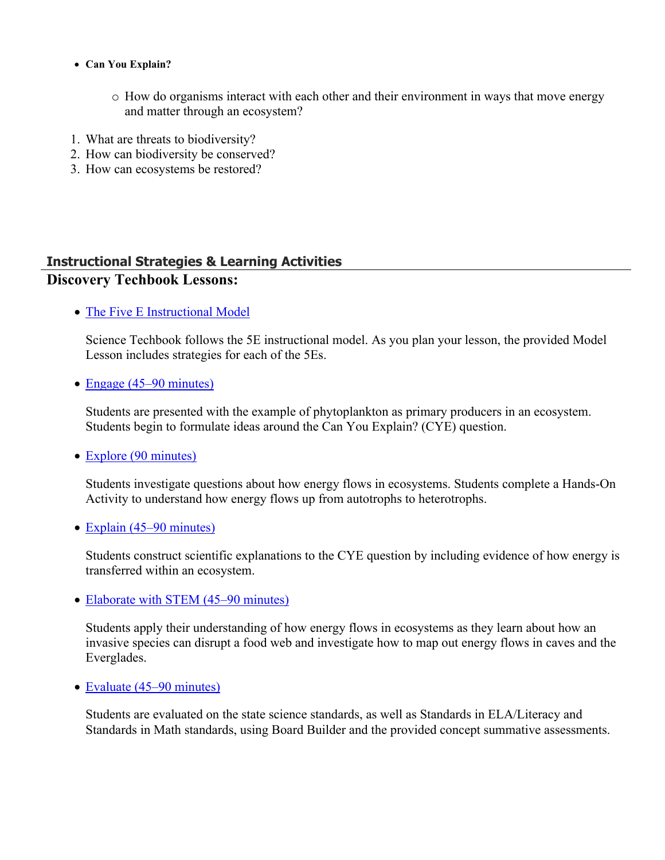- **Can You Explain?**
	- o How do organisms interact with each other and their environment in ways that move energy and matter through an ecosystem?
- 1. What are threats to biodiversity?
- 2. How can biodiversity be conserved?
- 3. How can ecosystems be restored?

# **Instructional Strategies & Learning Activities Discovery Techbook Lessons:**

• [The Five E Instructional Model](https://app.discoveryeducation.com/learn/techbook/units/f8b0240e-a0f3-49a5-81e7-d1019d3ec115/concepts/f02b1a1b-e34e-40cd-9d5b-70eb660a955e/lesson/sections/867b2db6-5ff7-4294-a6d9-21b502e1ed0d#f649771d-4453-44a4-8f3d-71969d76ffae)

Science Techbook follows the 5E instructional model. As you plan your lesson, the provided Model Lesson includes strategies for each of the 5Es.

• [Engage \(45–90 minutes\)](https://app.discoveryeducation.com/learn/techbook/units/f8b0240e-a0f3-49a5-81e7-d1019d3ec115/concepts/f02b1a1b-e34e-40cd-9d5b-70eb660a955e/lesson/sections/867b2db6-5ff7-4294-a6d9-21b502e1ed0d#a27a45f0-5847-4cc0-976a-8058683b3f3d)

Students are presented with the example of phytoplankton as primary producers in an ecosystem. Students begin to formulate ideas around the Can You Explain? (CYE) question.

• [Explore \(90 minutes\)](https://app.discoveryeducation.com/learn/techbook/units/f8b0240e-a0f3-49a5-81e7-d1019d3ec115/concepts/f02b1a1b-e34e-40cd-9d5b-70eb660a955e/lesson/sections/867b2db6-5ff7-4294-a6d9-21b502e1ed0d#8fea22ca-60f7-4d4c-b9f8-e475e8868f72)

Students investigate questions about how energy flows in ecosystems. Students complete a Hands-On Activity to understand how energy flows up from autotrophs to heterotrophs.

• [Explain \(45–90 minutes\)](https://app.discoveryeducation.com/learn/techbook/units/f8b0240e-a0f3-49a5-81e7-d1019d3ec115/concepts/f02b1a1b-e34e-40cd-9d5b-70eb660a955e/lesson/sections/867b2db6-5ff7-4294-a6d9-21b502e1ed0d#5ddf60fe-19d5-4bee-9f8e-b0a636889cc9)

Students construct scientific explanations to the CYE question by including evidence of how energy is transferred within an ecosystem.

• [Elaborate with STEM \(45–90 minutes\)](https://app.discoveryeducation.com/learn/techbook/units/f8b0240e-a0f3-49a5-81e7-d1019d3ec115/concepts/f02b1a1b-e34e-40cd-9d5b-70eb660a955e/lesson/sections/867b2db6-5ff7-4294-a6d9-21b502e1ed0d#c632c1f9-1d3c-4fc5-8f4f-24576cb5ede3)

Students apply their understanding of how energy flows in ecosystems as they learn about how an invasive species can disrupt a food web and investigate how to map out energy flows in caves and the Everglades.

• [Evaluate \(45–90 minutes\)](https://app.discoveryeducation.com/learn/techbook/units/f8b0240e-a0f3-49a5-81e7-d1019d3ec115/concepts/f02b1a1b-e34e-40cd-9d5b-70eb660a955e/lesson/sections/867b2db6-5ff7-4294-a6d9-21b502e1ed0d#e2d05bea-4375-4e13-9cdb-754746aa1f31)

Students are evaluated on the state science standards, as well as Standards in ELA/Literacy and Standards in Math standards, using Board Builder and the provided concept summative assessments.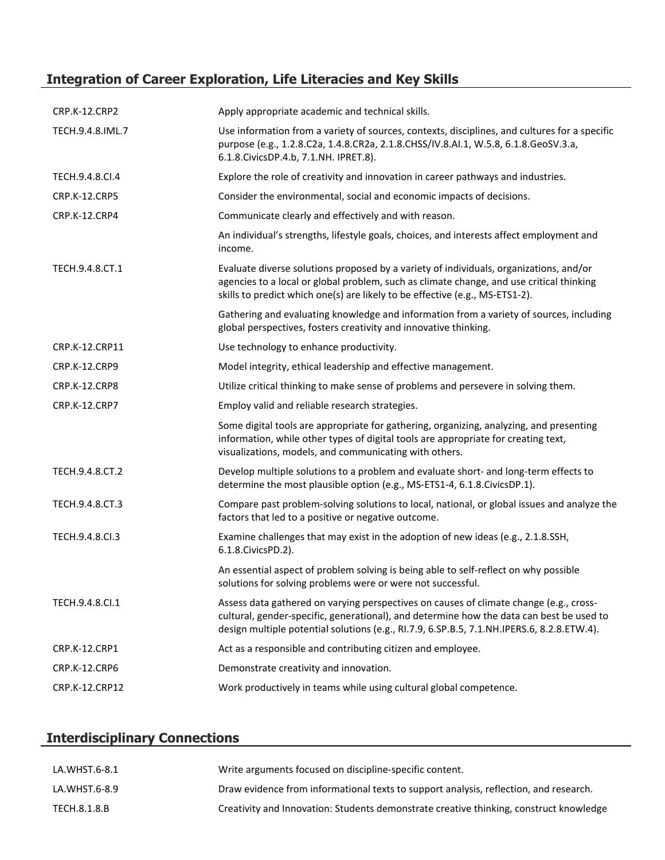# **Integration of Career Exploration, Life Literacies and Key Skills**

| <b>CRP.K-12.CRP2</b> | Apply appropriate academic and technical skills.                                                                                                                                                                                                                                 |
|----------------------|----------------------------------------------------------------------------------------------------------------------------------------------------------------------------------------------------------------------------------------------------------------------------------|
| TECH.9.4.8.IML.7     | Use information from a variety of sources, contexts, disciplines, and cultures for a specific<br>purpose (e.g., 1.2.8.C2a, 1.4.8.CR2a, 2.1.8.CHSS/IV.8.AI.1, W.5.8, 6.1.8.GeoSV.3.a,<br>6.1.8. Civics DP.4.b, 7.1. NH. IPRET.8).                                                 |
| TECH.9.4.8.CI.4      | Explore the role of creativity and innovation in career pathways and industries.                                                                                                                                                                                                 |
| <b>CRP.K-12.CRP5</b> | Consider the environmental, social and economic impacts of decisions.                                                                                                                                                                                                            |
| <b>CRP.K-12.CRP4</b> | Communicate clearly and effectively and with reason.                                                                                                                                                                                                                             |
|                      | An individual's strengths, lifestyle goals, choices, and interests affect employment and<br>income.                                                                                                                                                                              |
| TECH.9.4.8.CT.1      | Evaluate diverse solutions proposed by a variety of individuals, organizations, and/or<br>agencies to a local or global problem, such as climate change, and use critical thinking<br>skills to predict which one(s) are likely to be effective (e.g., MS-ETS1-2).               |
|                      | Gathering and evaluating knowledge and information from a variety of sources, including<br>global perspectives, fosters creativity and innovative thinking.                                                                                                                      |
| CRP.K-12.CRP11       | Use technology to enhance productivity.                                                                                                                                                                                                                                          |
| <b>CRP.K-12.CRP9</b> | Model integrity, ethical leadership and effective management.                                                                                                                                                                                                                    |
| <b>CRP.K-12.CRP8</b> | Utilize critical thinking to make sense of problems and persevere in solving them.                                                                                                                                                                                               |
| CRP.K-12.CRP7        | Employ valid and reliable research strategies.                                                                                                                                                                                                                                   |
|                      | Some digital tools are appropriate for gathering, organizing, analyzing, and presenting<br>information, while other types of digital tools are appropriate for creating text,<br>visualizations, models, and communicating with others.                                          |
| TECH.9.4.8.CT.2      | Develop multiple solutions to a problem and evaluate short- and long-term effects to<br>determine the most plausible option (e.g., MS-ETS1-4, 6.1.8.CivicsDP.1).                                                                                                                 |
| TECH.9.4.8.CT.3      | Compare past problem-solving solutions to local, national, or global issues and analyze the<br>factors that led to a positive or negative outcome.                                                                                                                               |
| TECH.9.4.8.CI.3      | Examine challenges that may exist in the adoption of new ideas (e.g., 2.1.8.SSH,<br>6.1.8. Civics PD. 2).                                                                                                                                                                        |
|                      | An essential aspect of problem solving is being able to self-reflect on why possible<br>solutions for solving problems were or were not successful.                                                                                                                              |
| TECH.9.4.8.Cl.1      | Assess data gathered on varying perspectives on causes of climate change (e.g., cross-<br>cultural, gender-specific, generational), and determine how the data can best be used to<br>design multiple potential solutions (e.g., RI.7.9, 6.SP.B.5, 7.1.NH.IPERS.6, 8.2.8.ETW.4). |
| CRP.K-12.CRP1        | Act as a responsible and contributing citizen and employee.                                                                                                                                                                                                                      |
| <b>CRP.K-12.CRP6</b> | Demonstrate creativity and innovation.                                                                                                                                                                                                                                           |
| CRP.K-12.CRP12       | Work productively in teams while using cultural global competence.                                                                                                                                                                                                               |

# **Interdisciplinary Connections**

| LA.WHST.6-8.1 | Write arguments focused on discipline-specific content.                                |
|---------------|----------------------------------------------------------------------------------------|
| LA.WHST.6-8.9 | Draw evidence from informational texts to support analysis, reflection, and research.  |
| TECH.8.1.8.B  | Creativity and Innovation: Students demonstrate creative thinking, construct knowledge |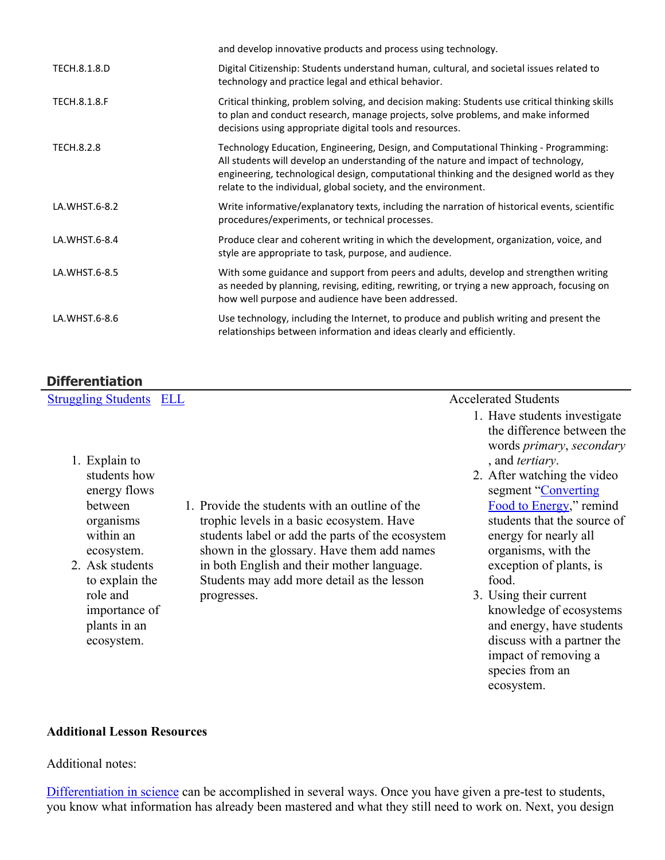|                     | and develop innovative products and process using technology.                                                                                                                                                                                                                                                                            |
|---------------------|------------------------------------------------------------------------------------------------------------------------------------------------------------------------------------------------------------------------------------------------------------------------------------------------------------------------------------------|
| TECH.8.1.8.D        | Digital Citizenship: Students understand human, cultural, and societal issues related to<br>technology and practice legal and ethical behavior.                                                                                                                                                                                          |
| <b>TECH.8.1.8.F</b> | Critical thinking, problem solving, and decision making: Students use critical thinking skills<br>to plan and conduct research, manage projects, solve problems, and make informed<br>decisions using appropriate digital tools and resources.                                                                                           |
| <b>TECH.8.2.8</b>   | Technology Education, Engineering, Design, and Computational Thinking - Programming:<br>All students will develop an understanding of the nature and impact of technology,<br>engineering, technological design, computational thinking and the designed world as they<br>relate to the individual, global society, and the environment. |
| LA.WHST.6-8.2       | Write informative/explanatory texts, including the narration of historical events, scientific<br>procedures/experiments, or technical processes.                                                                                                                                                                                         |
| LA.WHST.6-8.4       | Produce clear and coherent writing in which the development, organization, voice, and<br>style are appropriate to task, purpose, and audience.                                                                                                                                                                                           |
| LA.WHST.6-8.5       | With some guidance and support from peers and adults, develop and strengthen writing<br>as needed by planning, revising, editing, rewriting, or trying a new approach, focusing on<br>how well purpose and audience have been addressed.                                                                                                 |
| LA.WHST.6-8.6       | Use technology, including the Internet, to produce and publish writing and present the<br>relationships between information and ideas clearly and efficiently.                                                                                                                                                                           |

# **Differentiation**

| <b>Struggling Students ELL</b> |                                                  | <b>Accelerated Students</b>                         |
|--------------------------------|--------------------------------------------------|-----------------------------------------------------|
|                                |                                                  | 1. Have students investigate                        |
|                                |                                                  | the difference between the                          |
| 1. Explain to                  |                                                  | words primary, secondary<br>, and <i>tertiary</i> . |
| students how                   |                                                  | 2. After watching the video                         |
| energy flows                   |                                                  | segment "Converting"                                |
| between                        | 1. Provide the students with an outline of the   | Food to Energy," remind                             |
| organisms                      | trophic levels in a basic ecosystem. Have        | students that the source of                         |
| within an                      | students label or add the parts of the ecosystem | energy for nearly all                               |
| ecosystem.                     | shown in the glossary. Have them add names       | organisms, with the                                 |
| 2. Ask students                | in both English and their mother language.       | exception of plants, is                             |
| to explain the                 | Students may add more detail as the lesson       | food.                                               |
| role and                       | progresses.                                      | 3. Using their current                              |
| importance of                  |                                                  | knowledge of ecosystems                             |
| plants in an                   |                                                  | and energy, have students                           |
| ecosystem.                     |                                                  | discuss with a partner the                          |

impact of removing a species from an ecosystem.

#### **Additional Lesson Resources**

#### Additional notes:

[Differentiation in science](http://www.brighthubeducation.com/teaching-gifted-students/65181-differentiation-techniques-and-activities-in-the-classroom-for-gifted-students/) can be accomplished in several ways. Once you have given a pre-test to students, you know what information has already been mastered and what they still need to work on. Next, you design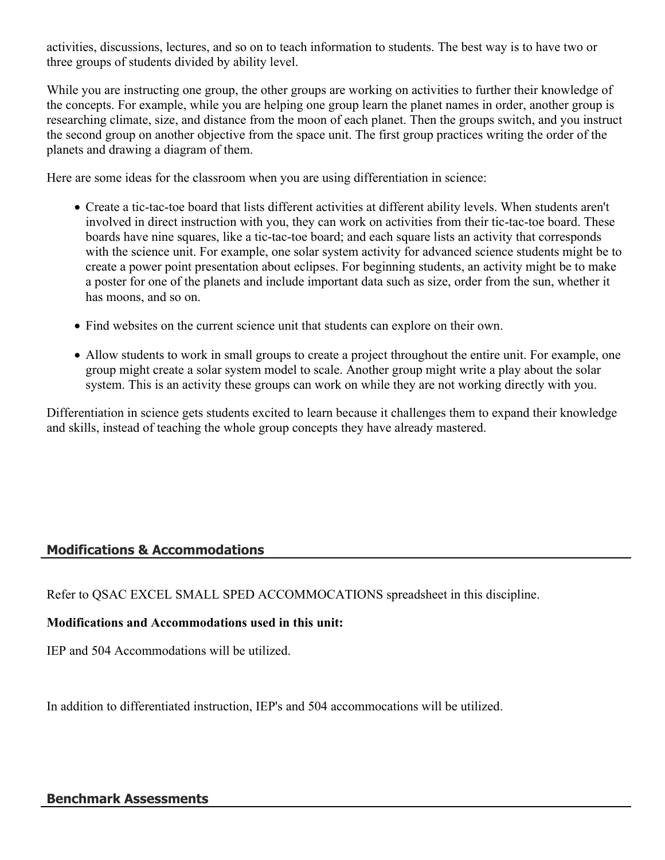activities, discussions, lectures, and so on to teach information to students. The best way is to have two or three groups of students divided by ability level.

While you are instructing one group, the other groups are working on activities to further their knowledge of the concepts. For example, while you are helping one group learn the planet names in order, another group is researching climate, size, and distance from the moon of each planet. Then the groups switch, and you instruct the second group on another objective from the space unit. The first group practices writing the order of the planets and drawing a diagram of them.

Here are some ideas for the classroom when you are using differentiation in science:

- Create a tic-tac-toe board that lists different activities at different ability levels. When students aren't involved in direct instruction with you, they can work on activities from their tic-tac-toe board. These boards have nine squares, like a tic-tac-toe board; and each square lists an activity that corresponds with the science unit. For example, one solar system activity for advanced science students might be to create a power point presentation about eclipses. For beginning students, an activity might be to make a poster for one of the planets and include important data such as size, order from the sun, whether it has moons, and so on.
- Find websites on the current science unit that students can explore on their own.
- Allow students to work in small groups to create a project throughout the entire unit. For example, one group might create a solar system model to scale. Another group might write a play about the solar system. This is an activity these groups can work on while they are not working directly with you.

Differentiation in science gets students excited to learn because it challenges them to expand their knowledge and skills, instead of teaching the whole group concepts they have already mastered.

# **Modifications & Accommodations**

Refer to QSAC EXCEL SMALL SPED ACCOMMOCATIONS spreadsheet in this discipline.

## **Modifications and Accommodations used in this unit:**

IEP and 504 Accommodations will be utilized.

In addition to differentiated instruction, IEP's and 504 accommocations will be utilized.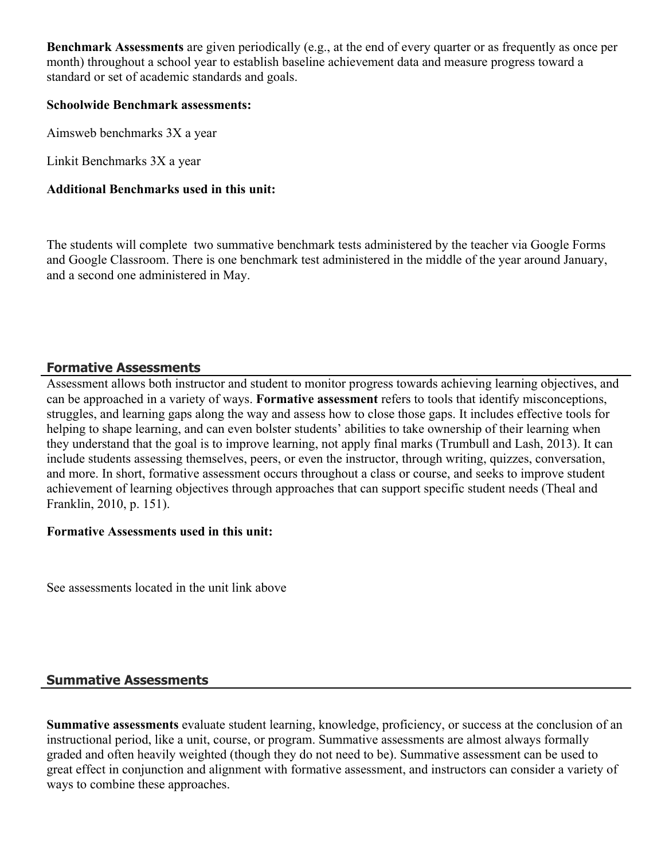**Benchmark Assessments** are given periodically (e.g., at the end of every quarter or as frequently as once per month) throughout a school year to establish baseline achievement data and measure progress toward a standard or set of academic standards and goals.

#### **Schoolwide Benchmark assessments:**

Aimsweb benchmarks 3X a year

Linkit Benchmarks 3X a year

#### **Additional Benchmarks used in this unit:**

The students will complete two summative benchmark tests administered by the teacher via Google Forms and Google Classroom. There is one benchmark test administered in the middle of the year around January, and a second one administered in May.

## **Formative Assessments**

Assessment allows both instructor and student to monitor progress towards achieving learning objectives, and can be approached in a variety of ways. **Formative assessment** refers to tools that identify misconceptions, struggles, and learning gaps along the way and assess how to close those gaps. It includes effective tools for helping to shape learning, and can even bolster students' abilities to take ownership of their learning when they understand that the goal is to improve learning, not apply final marks (Trumbull and Lash, 2013). It can include students assessing themselves, peers, or even the instructor, through writing, quizzes, conversation, and more. In short, formative assessment occurs throughout a class or course, and seeks to improve student achievement of learning objectives through approaches that can support specific student needs (Theal and Franklin, 2010, p. 151).

#### **Formative Assessments used in this unit:**

See assessments located in the unit link above

## **Summative Assessments**

**Summative assessments** evaluate student learning, knowledge, proficiency, or success at the conclusion of an instructional period, like a unit, course, or program. Summative assessments are almost always formally graded and often heavily weighted (though they do not need to be). Summative assessment can be used to great effect in conjunction and alignment with formative assessment, and instructors can consider a variety of ways to combine these approaches.